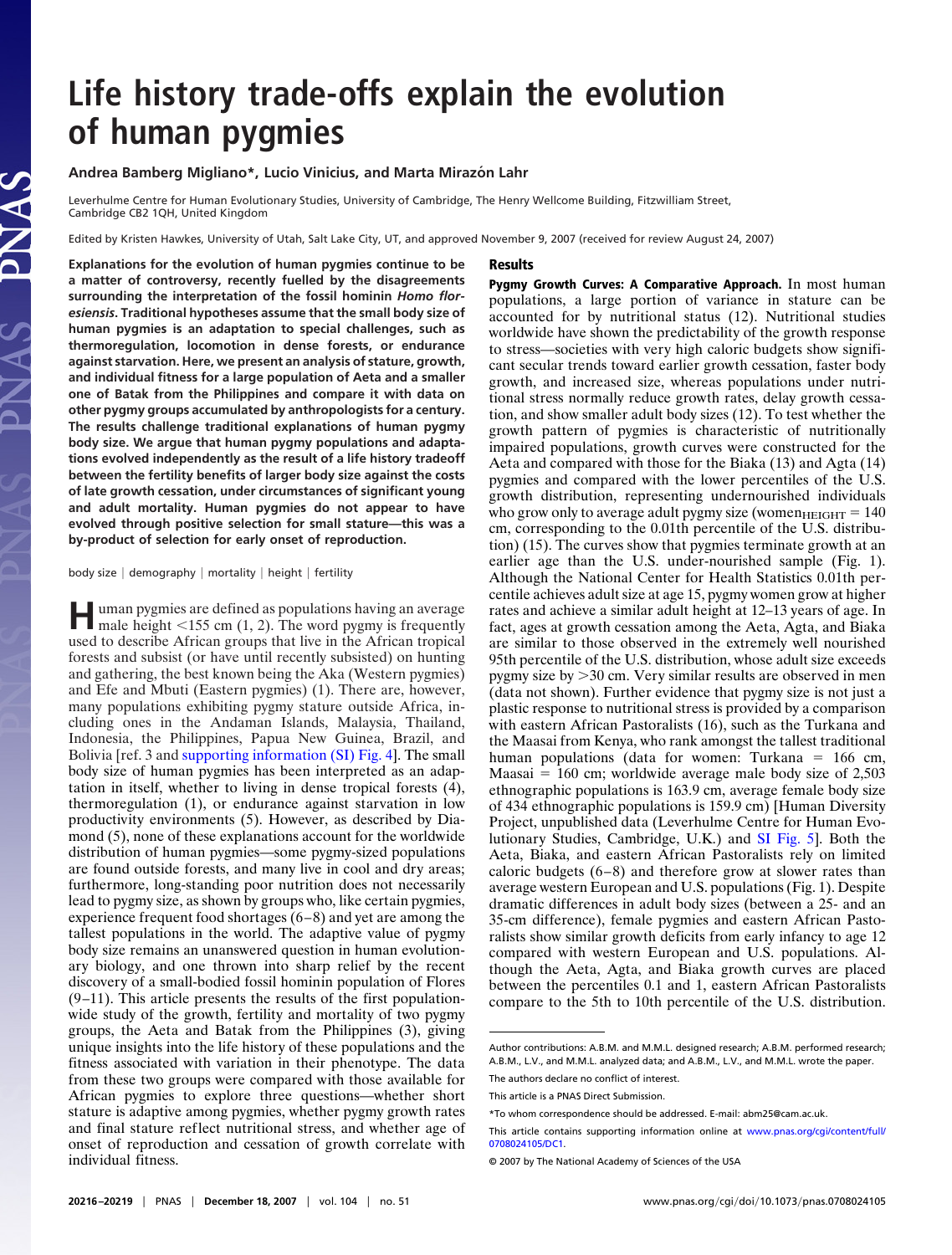## **Life history trade-offs explain the evolution of human pygmies**

## **Andrea Bamberg Migliano\*, Lucio Vinicius, and Marta Mirazo´ n Lahr**

Leverhulme Centre for Human Evolutionary Studies, University of Cambridge, The Henry Wellcome Building, Fitzwilliam Street, Cambridge CB2 1QH, United Kingdom

Edited by Kristen Hawkes, University of Utah, Salt Lake City, UT, and approved November 9, 2007 (received for review August 24, 2007)

Results

**Explanations for the evolution of human pygmies continue to be a matter of controversy, recently fuelled by the disagreements surrounding the interpretation of the fossil hominin** *Homo floresiensis***. Traditional hypotheses assume that the small body size of human pygmies is an adaptation to special challenges, such as thermoregulation, locomotion in dense forests, or endurance against starvation. Here, we present an analysis of stature, growth, and individual fitness for a large population of Aeta and a smaller one of Batak from the Philippines and compare it with data on other pygmy groups accumulated by anthropologists for a century. The results challenge traditional explanations of human pygmy body size. We argue that human pygmy populations and adaptations evolved independently as the result of a life history tradeoff between the fertility benefits of larger body size against the costs of late growth cessation, under circumstances of significant young and adult mortality. Human pygmies do not appear to have evolved through positive selection for small stature—this was a by-product of selection for early onset of reproduction.**

body size  $|$  demography  $|$  mortality  $|$  height  $|$  fertility

**H**uman pygmies are defined as populations having an average male height <155 cm (1, 2). The word pygmy is frequently used to describe African groups that live in the African tropical forests and subsist (or have until recently subsisted) on hunting and gathering, the best known being the Aka (Western pygmies) and Efe and Mbuti (Eastern pygmies) (1). There are, however, many populations exhibiting pygmy stature outside Africa, including ones in the Andaman Islands, Malaysia, Thailand, Indonesia, the Philippines, Papua New Guinea, Brazil, and Bolivia [ref. 3 and [supporting information \(SI\) Fig. 4\]](http://www.pnas.org/cgi/content/full/0708024105/DC1). The small body size of human pygmies has been interpreted as an adaptation in itself, whether to living in dense tropical forests (4), thermoregulation (1), or endurance against starvation in low productivity environments (5). However, as described by Diamond (5), none of these explanations account for the worldwide distribution of human pygmies—some pygmy-sized populations are found outside forests, and many live in cool and dry areas; furthermore, long-standing poor nutrition does not necessarily lead to pygmy size, as shown by groups who, like certain pygmies, experience frequent food shortages (6–8) and yet are among the tallest populations in the world. The adaptive value of pygmy body size remains an unanswered question in human evolutionary biology, and one thrown into sharp relief by the recent discovery of a small-bodied fossil hominin population of Flores  $(9-11)$ . This article presents the results of the first populationwide study of the growth, fertility and mortality of two pygmy groups, the Aeta and Batak from the Philippines (3), giving unique insights into the life history of these populations and the fitness associated with variation in their phenotype. The data from these two groups were compared with those available for African pygmies to explore three questions—whether short stature is adaptive among pygmies, whether pygmy growth rates and final stature reflect nutritional stress, and whether age of onset of reproduction and cessation of growth correlate with individual fitness.

Pygmy Growth Curves: A Comparative Approach. In most human populations, a large portion of variance in stature can be accounted for by nutritional status (12). Nutritional studies worldwide have shown the predictability of the growth response to stress—societies with very high caloric budgets show significant secular trends toward earlier growth cessation, faster body growth, and increased size, whereas populations under nutritional stress normally reduce growth rates, delay growth cessation, and show smaller adult body sizes (12). To test whether the growth pattern of pygmies is characteristic of nutritionally impaired populations, growth curves were constructed for the Aeta and compared with those for the Biaka (13) and Agta (14) pygmies and compared with the lower percentiles of the U.S. growth distribution, representing undernourished individuals who grow only to average adult pygmy size (women $_{\text{HEIGHT}} = 140$ cm, corresponding to the 0.01th percentile of the U.S. distribution) (15). The curves show that pygmies terminate growth at an earlier age than the U.S. under-nourished sample (Fig. 1). Although the National Center for Health Statistics 0.01th percentile achieves adult size at age 15, pygmy women grow at higher rates and achieve a similar adult height at 12–13 years of age. In fact, ages at growth cessation among the Aeta, Agta, and Biaka are similar to those observed in the extremely well nourished 95th percentile of the U.S. distribution, whose adult size exceeds pygmy size by  $>$ 30 cm. Very similar results are observed in men (data not shown). Further evidence that pygmy size is not just a plastic response to nutritional stress is provided by a comparison with eastern African Pastoralists (16), such as the Turkana and the Maasai from Kenya, who rank amongst the tallest traditional human populations (data for women: Turkana  $= 166$  cm, Maasai  $= 160$  cm; worldwide average male body size of 2,503 ethnographic populations is 163.9 cm, average female body size of 434 ethnographic populations is 159.9 cm) [Human Diversity Project, unpublished data (Leverhulme Centre for Human Evolutionary Studies, Cambridge, U.K.) and [SI Fig. 5\]](http://www.pnas.org/cgi/content/full/0708024105/DC1). Both the Aeta, Biaka, and eastern African Pastoralists rely on limited caloric budgets (6–8) and therefore grow at slower rates than average western European and U.S. populations (Fig. 1). Despite dramatic differences in adult body sizes (between a 25- and an 35-cm difference), female pygmies and eastern African Pastoralists show similar growth deficits from early infancy to age 12 compared with western European and U.S. populations. Although the Aeta, Agta, and Biaka growth curves are placed between the percentiles 0.1 and 1, eastern African Pastoralists compare to the 5th to 10th percentile of the U.S. distribution.

Author contributions: A.B.M. and M.M.L. designed research; A.B.M. performed research; A.B.M., L.V., and M.M.L. analyzed data; and A.B.M., L.V., and M.M.L. wrote the paper.

The authors declare no conflict of interest.

This article is a PNAS Direct Submission.

<sup>\*</sup>To whom correspondence should be addressed. E-mail: abm25@cam.ac.uk.

This article contains supporting information online at [www.pnas.org/cgi/content/full/](http://www.pnas.org/cgi/content/full/0708024105/DC1) [0708024105/DC1.](http://www.pnas.org/cgi/content/full/0708024105/DC1)

<sup>© 2007</sup> by The National Academy of Sciences of the USA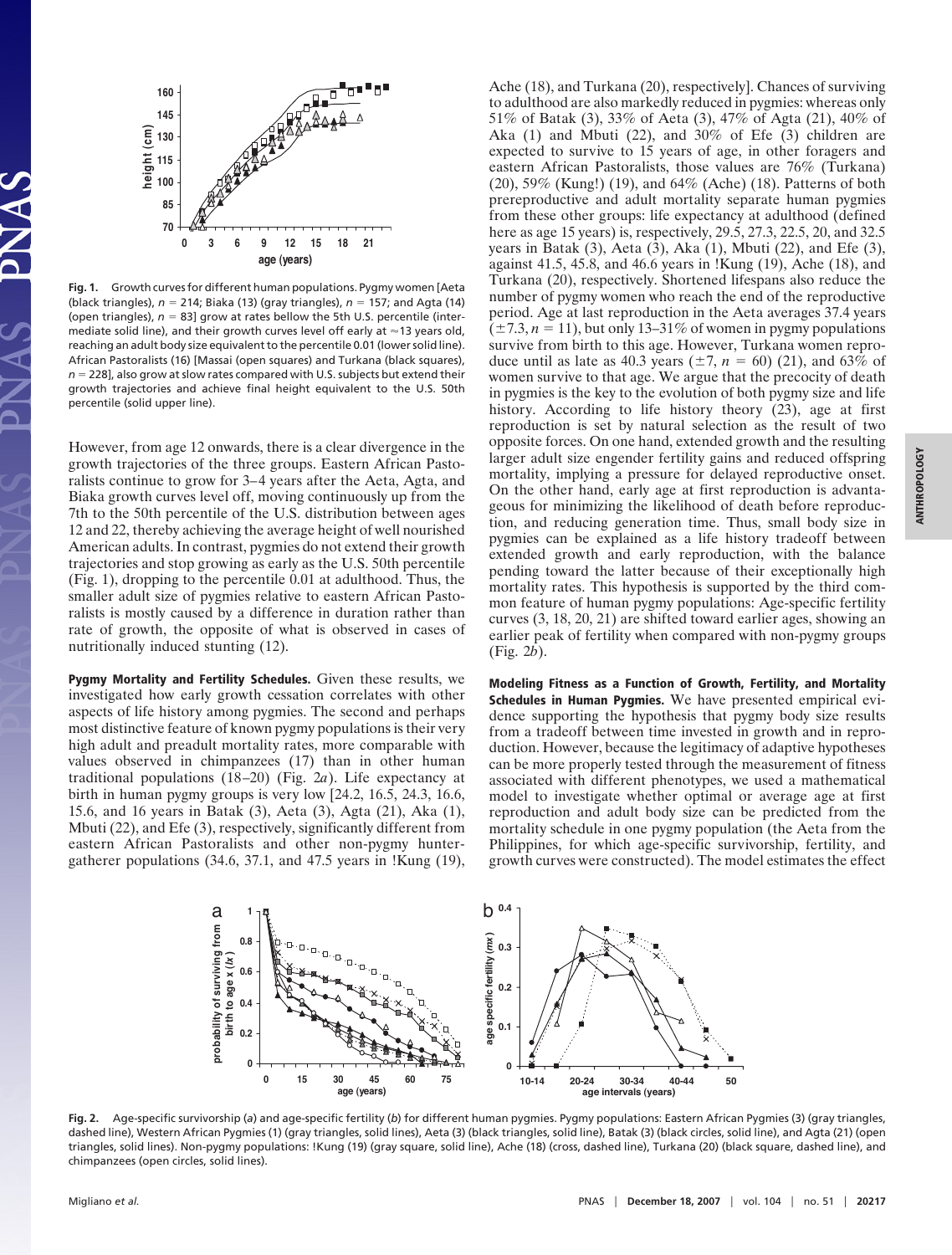

**Fig. 1.** Growth curves for different human populations. Pygmy women [Aeta (black triangles), *n* " 214; Biaka (13) (gray triangles), *n* " 157; and Agta (14) (open triangles),  $n = 83$ ] grow at rates bellow the 5th U.S. percentile (intermediate solid line), and their growth curves level off early at  $\approx$  13 years old, reaching an adult body size equivalent to the percentile 0.01 (lower solid line). African Pastoralists (16) [Massai (open squares) and Turkana (black squares), *n* = 228], also grow at slow rates compared with U.S. subjects but extend their growth trajectories and achieve final height equivalent to the U.S. 50th percentile (solid upper line).

However, from age 12 onwards, there is a clear divergence in the growth trajectories of the three groups. Eastern African Pastoralists continue to grow for 3–4 years after the Aeta, Agta, and Biaka growth curves level off, moving continuously up from the 7th to the 50th percentile of the U.S. distribution between ages 12 and 22, thereby achieving the average height of well nourished American adults. In contrast, pygmies do not extend their growth trajectories and stop growing as early as the U.S. 50th percentile (Fig. 1), dropping to the percentile 0.01 at adulthood. Thus, the smaller adult size of pygmies relative to eastern African Pastoralists is mostly caused by a difference in duration rather than rate of growth, the opposite of what is observed in cases of nutritionally induced stunting (12).

Pygmy Mortality and Fertility Schedules. Given these results, we investigated how early growth cessation correlates with other aspects of life history among pygmies. The second and perhaps most distinctive feature of known pygmy populations is their very high adult and preadult mortality rates, more comparable with values observed in chimpanzees (17) than in other human traditional populations (18–20) (Fig. 2*a*). Life expectancy at birth in human pygmy groups is very low [24.2, 16.5, 24.3, 16.6, 15.6, and 16 years in Batak (3), Aeta (3), Agta (21), Aka (1), Mbuti (22), and Efe (3), respectively, significantly different from eastern African Pastoralists and other non-pygmy huntergatherer populations (34.6, 37.1, and 47.5 years in !Kung (19), Ache (18), and Turkana (20), respectively]. Chances of surviving to adulthood are also markedly reduced in pygmies: whereas only 51% of Batak (3), 33% of Aeta (3), 47% of Agta (21), 40% of Aka (1) and Mbuti (22), and 30% of Efe (3) children are expected to survive to 15 years of age, in other foragers and eastern African Pastoralists, those values are 76% (Turkana) (20), 59% (Kung!) (19), and 64% (Ache) (18). Patterns of both prereproductive and adult mortality separate human pygmies from these other groups: life expectancy at adulthood (defined here as age 15 years) is, respectively, 29.5, 27.3, 22.5, 20, and 32.5 years in Batak  $(3)$ , Aeta  $(3)$ , Aka  $(1)$ , Mbuti  $(22)$ , and Efe  $(3)$ , against 41.5, 45.8, and 46.6 years in !Kung (19), Ache (18), and Turkana (20), respectively. Shortened lifespans also reduce the number of pygmy women who reach the end of the reproductive period. Age at last reproduction in the Aeta averages 37.4 years  $(\pm 7.3, n = 11)$ , but only 13–31% of women in pygmy populations survive from birth to this age. However, Turkana women reproduce until as late as 40.3 years  $(\pm 7, n = 60)$  (21), and 63% of women survive to that age. We argue that the precocity of death in pygmies is the key to the evolution of both pygmy size and life history. According to life history theory (23), age at first reproduction is set by natural selection as the result of two opposite forces. On one hand, extended growth and the resulting larger adult size engender fertility gains and reduced offspring mortality, implying a pressure for delayed reproductive onset. On the other hand, early age at first reproduction is advantageous for minimizing the likelihood of death before reproduction, and reducing generation time. Thus, small body size in pygmies can be explained as a life history tradeoff between extended growth and early reproduction, with the balance pending toward the latter because of their exceptionally high mortality rates. This hypothesis is supported by the third common feature of human pygmy populations: Age-specific fertility curves (3, 18, 20, 21) are shifted toward earlier ages, showing an earlier peak of fertility when compared with non-pygmy groups (Fig. 2*b*).

Modeling Fitness as a Function of Growth, Fertility, and Mortality Schedules in Human Pygmies. We have presented empirical evidence supporting the hypothesis that pygmy body size results from a tradeoff between time invested in growth and in reproduction. However, because the legitimacy of adaptive hypotheses can be more properly tested through the measurement of fitness associated with different phenotypes, we used a mathematical model to investigate whether optimal or average age at first reproduction and adult body size can be predicted from the mortality schedule in one pygmy population (the Aeta from the Philippines, for which age-specific survivorship, fertility, and growth curves were constructed). The model estimates the effect



**Fig. 2.** Age-specific survivorship (*a*) and age-specific fertility (*b*) for different human pygmies. Pygmy populations: Eastern African Pygmies (3) (gray triangles, dashed line), Western African Pygmies (1) (gray triangles, solid lines), Aeta (3) (black triangles, solid line), Batak (3) (black circles, solid line), and Agta (21) (open triangles, solid lines). Non-pygmy populations: !Kung (19) (gray square, solid line), Ache (18) (cross, dashed line), Turkana (20) (black square, dashed line), and chimpanzees (open circles, solid lines).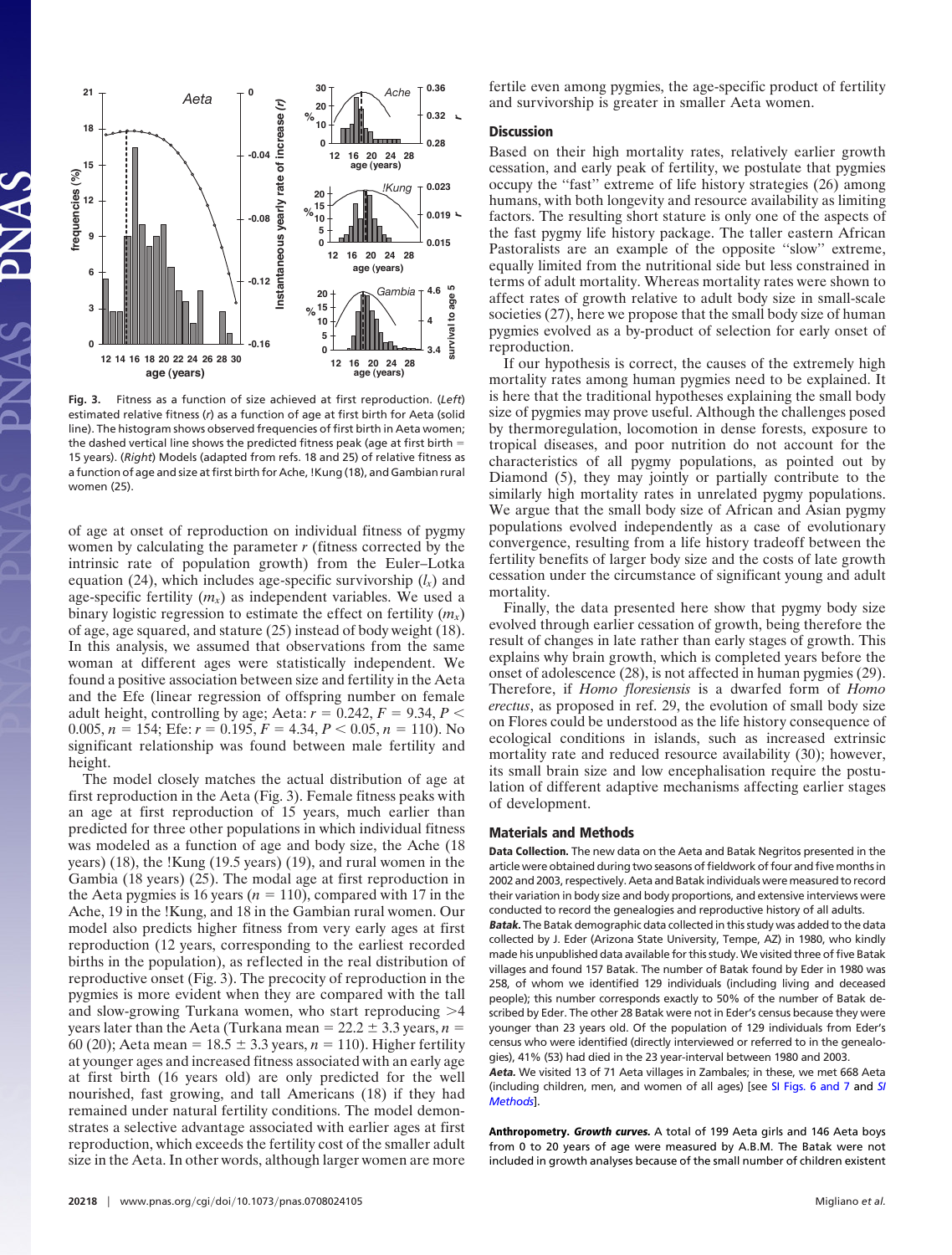

**Fig. 3.** Fitness as a function of size achieved at first reproduction. (*Left*) estimated relative fitness (*r*) as a function of age at first birth for Aeta (solid line). The histogram shows observed frequencies of first birth in Aeta women; the dashed vertical line shows the predicted fitness peak (age at first birth  $=$ 15 years). (*Right*) Models (adapted from refs. 18 and 25) of relative fitness as a function of age and size at first birth for Ache, !Kung (18), and Gambian rural women (25).

of age at onset of reproduction on individual fitness of pygmy women by calculating the parameter *r* (fitness corrected by the intrinsic rate of population growth) from the Euler–Lotka equation (24), which includes age-specific survivorship  $(l_x)$  and age-specific fertility  $(m_x)$  as independent variables. We used a binary logistic regression to estimate the effect on fertility  $(m<sub>x</sub>)$ of age, age squared, and stature (25) instead of body weight (18). In this analysis, we assumed that observations from the same woman at different ages were statistically independent. We found a positive association between size and fertility in the Aeta and the Efe (linear regression of offspring number on female adult height, controlling by age; Aeta:  $r = 0.242$ ,  $F = 9.34$ ,  $P <$ 0.005,  $n = 154$ ; Efe:  $r = 0.195$ ,  $F = 4.34$ ,  $P < 0.05$ ,  $n = 110$ ). No significant relationship was found between male fertility and height.

The model closely matches the actual distribution of age at first reproduction in the Aeta (Fig. 3). Female fitness peaks with an age at first reproduction of 15 years, much earlier than predicted for three other populations in which individual fitness was modeled as a function of age and body size, the Ache (18 years) (18), the !Kung (19.5 years) (19), and rural women in the Gambia (18 years) (25). The modal age at first reproduction in the Aeta pygmies is 16 years ( $n = 110$ ), compared with 17 in the Ache, 19 in the !Kung, and 18 in the Gambian rural women. Our model also predicts higher fitness from very early ages at first reproduction (12 years, corresponding to the earliest recorded births in the population), as reflected in the real distribution of reproductive onset (Fig. 3). The precocity of reproduction in the pygmies is more evident when they are compared with the tall and slow-growing Turkana women, who start reproducing  $>4$ years later than the Aeta (Turkana mean  $= 22.2 \pm 3.3$  years,  $n =$ 60 (20); Aeta mean =  $18.5 \pm 3.3$  years,  $n = 110$ ). Higher fertility at younger ages and increased fitness associated with an early age at first birth (16 years old) are only predicted for the well nourished, fast growing, and tall Americans (18) if they had remained under natural fertility conditions. The model demonstrates a selective advantage associated with earlier ages at first reproduction, which exceeds the fertility cost of the smaller adult size in the Aeta. In other words, although larger women are more

fertile even among pygmies, the age-specific product of fertility and survivorship is greater in smaller Aeta women.

## **Discussion**

Based on their high mortality rates, relatively earlier growth cessation, and early peak of fertility, we postulate that pygmies occupy the ''fast'' extreme of life history strategies (26) among humans, with both longevity and resource availability as limiting factors. The resulting short stature is only one of the aspects of the fast pygmy life history package. The taller eastern African Pastoralists are an example of the opposite ''slow'' extreme, equally limited from the nutritional side but less constrained in terms of adult mortality. Whereas mortality rates were shown to affect rates of growth relative to adult body size in small-scale societies (27), here we propose that the small body size of human pygmies evolved as a by-product of selection for early onset of reproduction.

If our hypothesis is correct, the causes of the extremely high mortality rates among human pygmies need to be explained. It is here that the traditional hypotheses explaining the small body size of pygmies may prove useful. Although the challenges posed by thermoregulation, locomotion in dense forests, exposure to tropical diseases, and poor nutrition do not account for the characteristics of all pygmy populations, as pointed out by Diamond (5), they may jointly or partially contribute to the similarly high mortality rates in unrelated pygmy populations. We argue that the small body size of African and Asian pygmy populations evolved independently as a case of evolutionary convergence, resulting from a life history tradeoff between the fertility benefits of larger body size and the costs of late growth cessation under the circumstance of significant young and adult mortality.

Finally, the data presented here show that pygmy body size evolved through earlier cessation of growth, being therefore the result of changes in late rather than early stages of growth. This explains why brain growth, which is completed years before the onset of adolescence (28), is not affected in human pygmies (29). Therefore, if *Homo floresiensis* is a dwarfed form of *Homo erectus*, as proposed in ref. 29, the evolution of small body size on Flores could be understood as the life history consequence of ecological conditions in islands, such as increased extrinsic mortality rate and reduced resource availability (30); however, its small brain size and low encephalisation require the postulation of different adaptive mechanisms affecting earlier stages of development.

## Materials and Methods

Data Collection. The new data on the Aeta and Batak Negritos presented in the article were obtained during two seasons of fieldwork of four and five months in 2002 and 2003, respectively. Aeta and Batak individuals were measured to record their variation in body size and body proportions, and extensive interviews were conducted to record the genealogies and reproductive history of all adults.

Batak. The Batak demographic data collected in this study was added to the data collected by J. Eder (Arizona State University, Tempe, AZ) in 1980, who kindly made his unpublished data available for this study. We visited three of five Batak villages and found 157 Batak. The number of Batak found by Eder in 1980 was 258, of whom we identified 129 individuals (including living and deceased people); this number corresponds exactly to 50% of the number of Batak described by Eder. The other 28 Batak were not in Eder's census because they were younger than 23 years old. Of the population of 129 individuals from Eder's census who were identified (directly interviewed or referred to in the genealogies), 41% (53) had died in the 23 year-interval between 1980 and 2003.

Aeta. We visited 13 of 71 Aeta villages in Zambales; in these, we met 668 Aeta (including children, men, and women of all ages) [see [SI Figs. 6 and 7](http://www.pnas.org/cgi/content/full/0708024105/DC1) and *[SI](http://www.pnas.org/cgi/content/full/0708024105/DC1) [Methods](http://www.pnas.org/cgi/content/full/0708024105/DC1)*].

Anthropometry. Growth curves. A total of 199 Aeta girls and 146 Aeta boys from 0 to 20 years of age were measured by A.B.M. The Batak were not included in growth analyses because of the small number of children existent